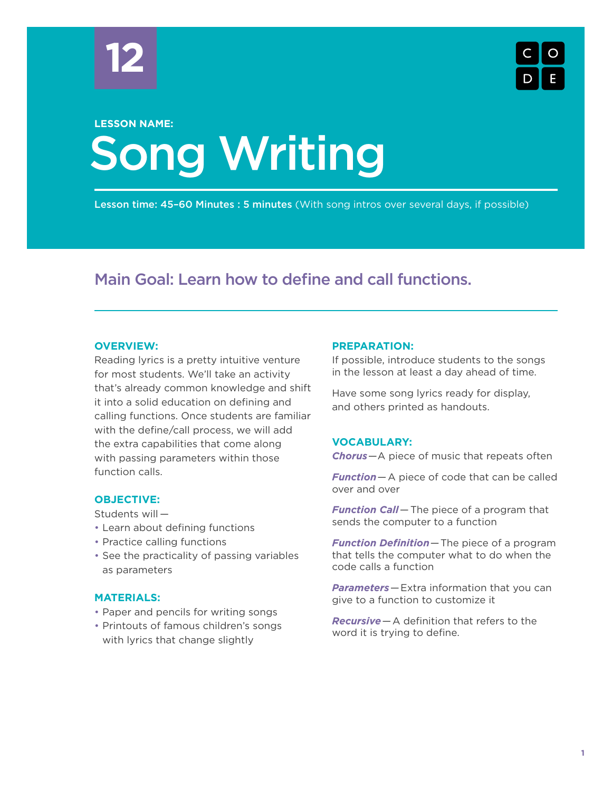



# Song Writing **LESSON NAME:**

Lesson time: 45–60 Minutes : 5 minutes (With song intros over several days, if possible)

# Main Goal: Learn how to define and call functions.

# **OVERVIEW:**

Reading lyrics is a pretty intuitive venture for most students. We'll take an activity that's already common knowledge and shift it into a solid education on defining and calling functions. Once students are familiar with the define/call process, we will add the extra capabilities that come along with passing parameters within those function calls.

# **OBJECTIVE:**

Students will —

- Learn about defining functions
- Practice calling functions
- See the practicality of passing variables as parameters

# **MATERIALS:**

- Paper and pencils for writing songs
- Printouts of famous children's songs with lyrics that change slightly

# **PREPARATION:**

If possible, introduce students to the songs in the lesson at least a day ahead of time.

Have some song lyrics ready for display, and others printed as handouts.

# **VOCABULARY:**

*Chorus*—A piece of music that repeats often

*Function*—A piece of code that can be called over and over

*Function Call*— The piece of a program that sends the computer to a function

*Function Definition*—The piece of a program that tells the computer what to do when the code calls a function

*Parameters*—Extra information that you can give to a function to customize it

*Recursive*—A definition that refers to the word it is trying to define.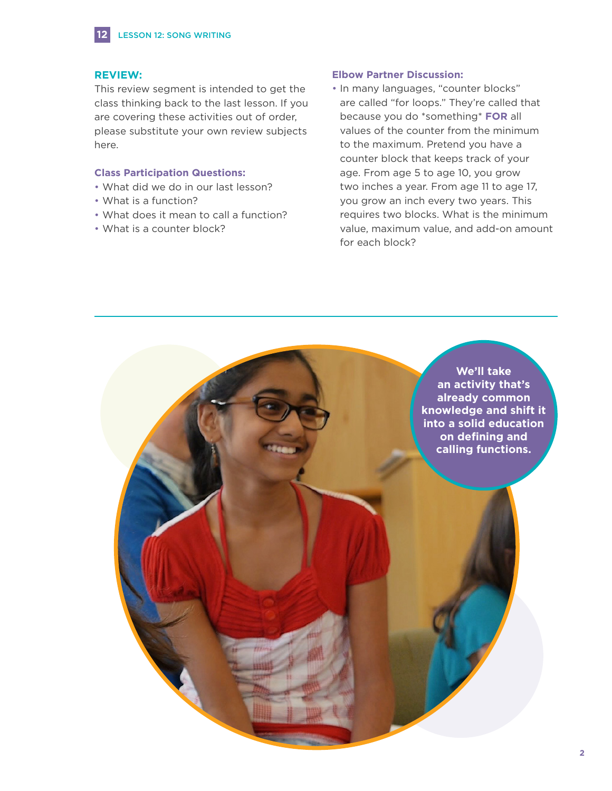

# **REVIEW:**

This review segment is intended to get the class thinking back to the last lesson. If you are covering these activities out of order, please substitute your own review subjects here.

# **Class Participation Questions:**

- What did we do in our last lesson?
- What is a function?
- What does it mean to call a function?
- What is a counter block?

# **Elbow Partner Discussion:**

• In many languages, "counter blocks" are called "for loops." They're called that because you do \*something\* **FOR** all values of the counter from the minimum to the maximum. Pretend you have a counter block that keeps track of your age. From age 5 to age 10, you grow two inches a year. From age 11 to age 17, you grow an inch every two years. This requires two blocks. What is the minimum value, maximum value, and add-on amount for each block?

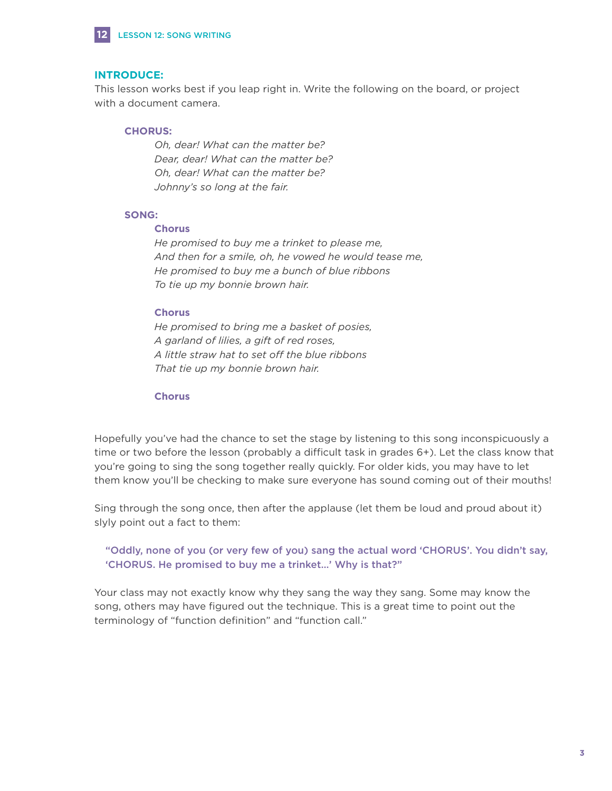

# **INTRODUCE:**

This lesson works best if you leap right in. Write the following on the board, or project with a document camera.

# **CHORUS:**

 *Oh, dear! What can the matter be? Dear, dear! What can the matter be? Oh, dear! What can the matter be? Johnny's so long at the fair.*

# **SONG:**

#### **Chorus**

 *He promised to buy me a trinket to please me, And then for a smile, oh, he vowed he would tease me, He promised to buy me a bunch of blue ribbons To tie up my bonnie brown hair.*

#### **Chorus**

 *He promised to bring me a basket of posies, A garland of lilies, a gift of red roses, A little straw hat to set off the blue ribbons That tie up my bonnie brown hair.*

#### **Chorus**

Hopefully you've had the chance to set the stage by listening to this song inconspicuously a time or two before the lesson (probably a difficult task in grades 6+). Let the class know that you're going to sing the song together really quickly. For older kids, you may have to let them know you'll be checking to make sure everyone has sound coming out of their mouths!

Sing through the song once, then after the applause (let them be loud and proud about it) slyly point out a fact to them:

 "Oddly, none of you (or very few of you) sang the actual word 'CHORUS'. You didn't say, 'CHORUS. He promised to buy me a trinket…' Why is that?"

Your class may not exactly know why they sang the way they sang. Some may know the song, others may have figured out the technique. This is a great time to point out the terminology of "function definition" and "function call."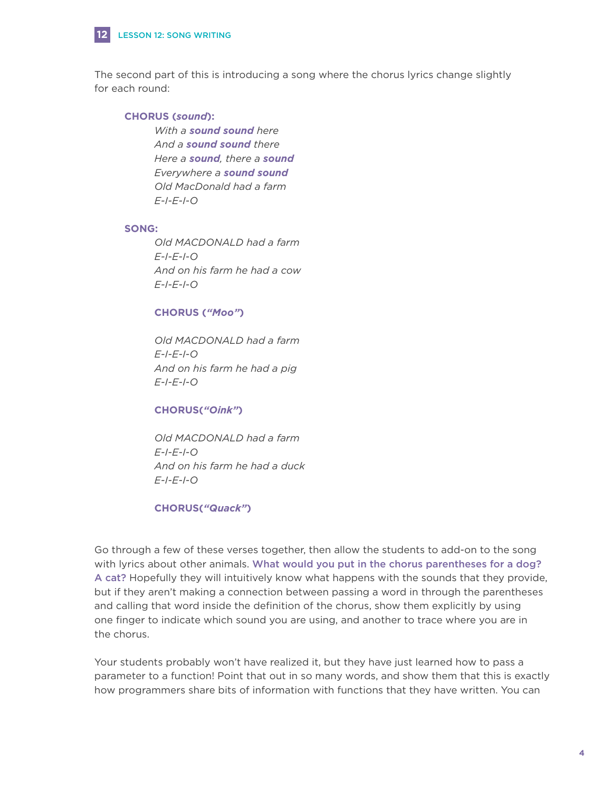

**12**

The second part of this is introducing a song where the chorus lyrics change slightly for each round:

# **CHORUS (***sound***):**

 *With a sound sound here And a sound sound there Here a sound, there a sound Everywhere a sound sound Old MacDonald had a farm E-I-E-I-O*

#### **SONG:**

 *Old MACDONALD had a farm E-I-E-I-O And on his farm he had a cow E-I-E-I-O*

# **CHORUS (***"Moo"***)**

 *Old MACDONALD had a farm E-I-E-I-O And on his farm he had a pig E-I-E-I-O*

# **CHORUS(***"Oink"***)**

 *Old MACDONALD had a farm E-I-E-I-O And on his farm he had a duck E-I-E-I-O*

# **CHORUS(***"Quack"***)**

Go through a few of these verses together, then allow the students to add-on to the song with lyrics about other animals. What would you put in the chorus parentheses for a dog? A cat? Hopefully they will intuitively know what happens with the sounds that they provide, but if they aren't making a connection between passing a word in through the parentheses and calling that word inside the definition of the chorus, show them explicitly by using one finger to indicate which sound you are using, and another to trace where you are in the chorus.

Your students probably won't have realized it, but they have just learned how to pass a parameter to a function! Point that out in so many words, and show them that this is exactly how programmers share bits of information with functions that they have written. You can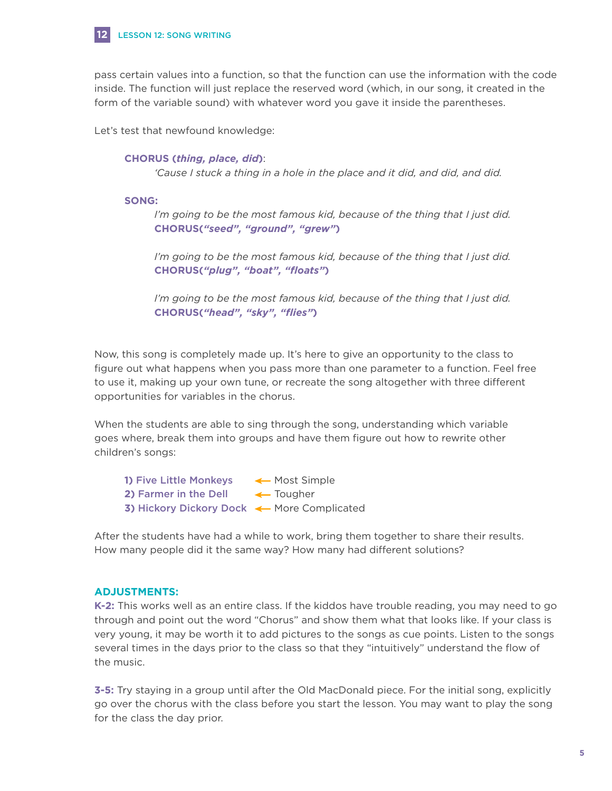

#### LESSON 12: SONG WRITING

pass certain values into a function, so that the function can use the information with the code inside. The function will just replace the reserved word (which, in our song, it created in the form of the variable sound) with whatever word you gave it inside the parentheses.

Let's test that newfound knowledge:

#### **CHORUS (***thing, place, did***)**:

*'Cause I stuck a thing in a hole in the place and it did, and did, and did.*

#### **SONG:**

 *I'm going to be the most famous kid, because of the thing that I just did.* **CHORUS(***"seed", "ground", "grew"***)**

 *I'm going to be the most famous kid, because of the thing that I just did.* **CHORUS(***"plug", "boat", "floats"***)**

 *I'm going to be the most famous kid, because of the thing that I just did.* **CHORUS(***"head", "sky", "flies"***)**

Now, this song is completely made up. It's here to give an opportunity to the class to figure out what happens when you pass more than one parameter to a function. Feel free to use it, making up your own tune, or recreate the song altogether with three different opportunities for variables in the chorus.

When the students are able to sing through the song, understanding which variable goes where, break them into groups and have them figure out how to rewrite other children's songs:

1) Five Little Monkeys <a>Most Simple</a> **2) Farmer in the Dell**  $\leftarrow$  **Tougher 3) Hickory Dickory Dock <> More Complicated** 

After the students have had a while to work, bring them together to share their results. How many people did it the same way? How many had different solutions?

# **ADJUSTMENTS:**

**K-2:** This works well as an entire class. If the kiddos have trouble reading, you may need to go through and point out the word "Chorus" and show them what that looks like. If your class is very young, it may be worth it to add pictures to the songs as cue points. Listen to the songs several times in the days prior to the class so that they "intuitively" understand the flow of the music.

**3-5:** Try staying in a group until after the Old MacDonald piece. For the initial song, explicitly go over the chorus with the class before you start the lesson. You may want to play the song for the class the day prior.